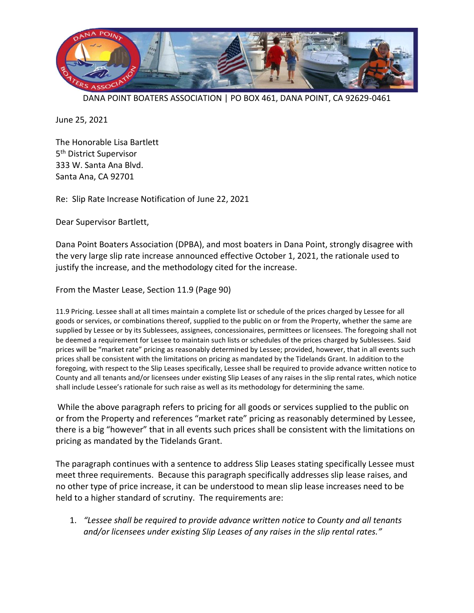

DANA POINT BOATERS ASSOCIATION | PO BOX 461, DANA POINT, CA 92629-0461

June 25, 2021

The Honorable Lisa Bartlett 5<sup>th</sup> District Supervisor 333 W. Santa Ana Blvd. Santa Ana, CA 92701

Re: Slip Rate Increase Notification of June 22, 2021

Dear Supervisor Bartlett,

Dana Point Boaters Association (DPBA), and most boaters in Dana Point, strongly disagree with the very large slip rate increase announced effective October 1, 2021, the rationale used to justify the increase, and the methodology cited for the increase.

From the Master Lease, Section 11.9 (Page 90)

11.9 Pricing. Lessee shall at all times maintain a complete list or schedule of the prices charged by Lessee for all goods or services, or combinations thereof, supplied to the public on or from the Property, whether the same are supplied by Lessee or by its Sublessees, assignees, concessionaires, permittees or licensees. The foregoing shall not be deemed a requirement for Lessee to maintain such lists or schedules of the prices charged by Sublessees. Said prices will be "market rate" pricing as reasonably determined by Lessee; provided, however, that in all events such prices shall be consistent with the limitations on pricing as mandated by the Tidelands Grant. In addition to the foregoing, with respect to the Slip Leases specifically, Lessee shall be required to provide advance written notice to County and all tenants and/or licensees under existing Slip Leases of any raises in the slip rental rates, which notice shall include Lessee's rationale for such raise as well as its methodology for determining the same.

While the above paragraph refers to pricing for all goods or services supplied to the public on or from the Property and references "market rate" pricing as reasonably determined by Lessee, there is a big "however" that in all events such prices shall be consistent with the limitations on pricing as mandated by the Tidelands Grant.

The paragraph continues with a sentence to address Slip Leases stating specifically Lessee must meet three requirements. Because this paragraph specifically addresses slip lease raises, and no other type of price increase, it can be understood to mean slip lease increases need to be held to a higher standard of scrutiny. The requirements are:

1. *"Lessee shall be required to provide advance written notice to County and all tenants and/or licensees under existing Slip Leases of any raises in the slip rental rates."*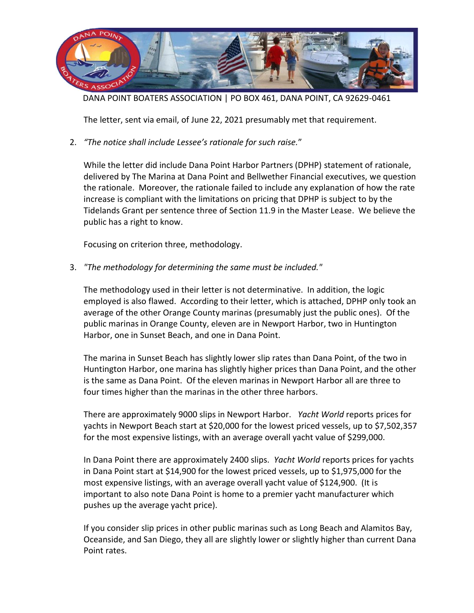

DANA POINT BOATERS ASSOCIATION | PO BOX 461, DANA POINT, CA 92629-0461

The letter, sent via email, of June 22, 2021 presumably met that requirement.

2. *"The notice shall include Lessee's rationale for such raise.*"

While the letter did include Dana Point Harbor Partners (DPHP) statement of rationale, delivered by The Marina at Dana Point and Bellwether Financial executives, we question the rationale. Moreover, the rationale failed to include any explanation of how the rate increase is compliant with the limitations on pricing that DPHP is subject to by the Tidelands Grant per sentence three of Section 11.9 in the Master Lease. We believe the public has a right to know.

Focusing on criterion three, methodology.

3. *"The methodology for determining the same must be included."*

The methodology used in their letter is not determinative. In addition, the logic employed is also flawed. According to their letter, which is attached, DPHP only took an average of the other Orange County marinas (presumably just the public ones). Of the public marinas in Orange County, eleven are in Newport Harbor, two in Huntington Harbor, one in Sunset Beach, and one in Dana Point.

The marina in Sunset Beach has slightly lower slip rates than Dana Point, of the two in Huntington Harbor, one marina has slightly higher prices than Dana Point, and the other is the same as Dana Point. Of the eleven marinas in Newport Harbor all are three to four times higher than the marinas in the other three harbors.

There are approximately 9000 slips in Newport Harbor. *Yacht World* reports prices for yachts in Newport Beach start at \$20,000 for the lowest priced vessels, up to \$7,502,357 for the most expensive listings, with an average overall yacht value of \$299,000.

In Dana Point there are approximately 2400 slips. *Yacht World* reports prices for yachts in Dana Point start at \$14,900 for the lowest priced vessels, up to \$1,975,000 for the most expensive listings, with an average overall yacht value of \$124,900. (It is important to also note Dana Point is home to a premier yacht manufacturer which pushes up the average yacht price).

If you consider slip prices in other public marinas such as Long Beach and Alamitos Bay, Oceanside, and San Diego, they all are slightly lower or slightly higher than current Dana Point rates.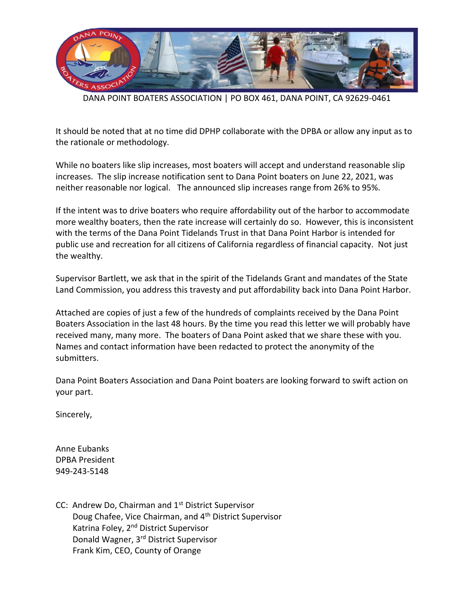

DANA POINT BOATERS ASSOCIATION | PO BOX 461, DANA POINT, CA 92629-0461

It should be noted that at no time did DPHP collaborate with the DPBA or allow any input as to the rationale or methodology.

While no boaters like slip increases, most boaters will accept and understand reasonable slip increases. The slip increase notification sent to Dana Point boaters on June 22, 2021, was neither reasonable nor logical. The announced slip increases range from 26% to 95%.

If the intent was to drive boaters who require affordability out of the harbor to accommodate more wealthy boaters, then the rate increase will certainly do so. However, this is inconsistent with the terms of the Dana Point Tidelands Trust in that Dana Point Harbor is intended for public use and recreation for all citizens of California regardless of financial capacity. Not just the wealthy.

Supervisor Bartlett, we ask that in the spirit of the Tidelands Grant and mandates of the State Land Commission, you address this travesty and put affordability back into Dana Point Harbor.

Attached are copies of just a few of the hundreds of complaints received by the Dana Point Boaters Association in the last 48 hours. By the time you read this letter we will probably have received many, many more. The boaters of Dana Point asked that we share these with you. Names and contact information have been redacted to protect the anonymity of the submitters.

Dana Point Boaters Association and Dana Point boaters are looking forward to swift action on your part.

Sincerely,

Anne Eubanks DPBA President 949-243-5148

CC: Andrew Do, Chairman and 1<sup>st</sup> District Supervisor Doug Chafee, Vice Chairman, and 4th District Supervisor Katrina Foley, 2<sup>nd</sup> District Supervisor Donald Wagner, 3rd District Supervisor Frank Kim, CEO, County of Orange